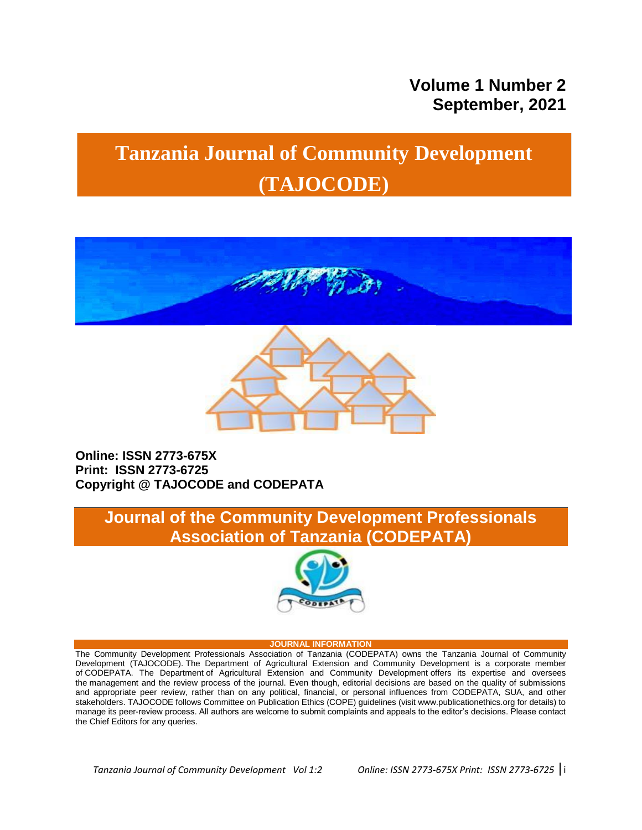# **Volume 1 Number 2 September, 2021**

# **Tanzania Journal of Community Development (TAJOCODE)**





## **Online: ISSN 2773-675X Print: ISSN 2773-6725 Copyright @ TAJOCODE and CODEPATA**

# **Journal of the Community Development Professionals Association of Tanzania (CODEPATA)**



#### **JOURNAL INFORMATION**

The Community Development Professionals Association of Tanzania (CODEPATA) owns the Tanzania Journal of Community Development (TAJOCODE). The Department of Agricultural Extension and Community Development is a corporate member of CODEPATA. The Department of Agricultural Extension and Community Development offers its expertise and oversees the management and the review process of the journal. Even though, editorial decisions are based on the quality of submissions and appropriate peer review, rather than on any political, financial, or personal influences from CODEPATA, SUA, and other stakeholders. TAJOCODE follows Committee on Publication Ethics (COPE) guidelines (visit www.publicationethics.org for details) to manage its peer-review process. All authors are welcome to submit complaints and appeals to the editor"s decisions. Please contact the Chief Editors for any queries.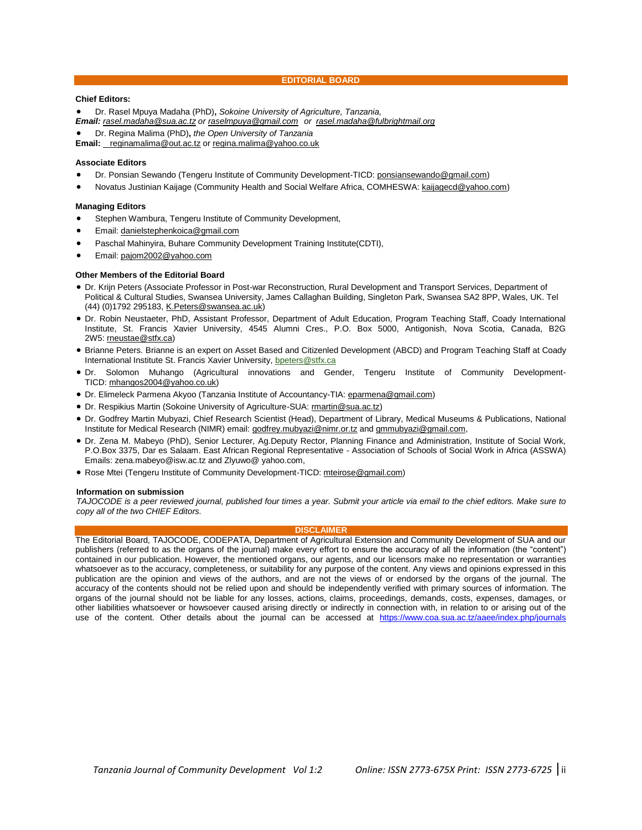**EDITORIAL BOARD**

#### **Chief Editors:**

Dr. Rasel Mpuya Madaha (PhD)**,** *Sokoine University of Agriculture, Tanzania,*

*Email: [rasel.madaha@sua.ac.tz](mailto:rasel.madaha@sua.ac.tz) or [raselmpuya@gmail.com](mailto:raselmpuya@gmail.com) or [rasel.madaha@fulbrightmail.org](mailto:rasel.madaha@fulbrightmail.org)*

Dr. Regina Malima (PhD)**,** *the Open University of Tanzania*

**Email:** [reginamalima](mailto:regina.malima@yahoo.co.uk)[@out.ac.tz](mailto:jjeckoniah@suanet.ac.tz) or [regina.malima@yahoo.co.uk](mailto:regina.malima@yahoo.co.uk)

#### **Associate Editors**

- Dr. Ponsian Sewando (Tengeru Institute of Community Development-TICD: [ponsiansewando@gmail.com\)](mailto:ponsiansewando@gmail.com)
- Novatus Justinian Kaijage (Community Health and Social Welfare Africa, COMHESWA: [kaijagecd@yahoo.com\)](mailto:kaijagecd@yahoo.com)

#### **Managing Editors**

- Stephen Wambura, Tengeru Institute of Community Development,
- Email: [danielstephenkoica@gmail.com](mailto:danielstephenkoica@gmai.com)
- Paschal Mahinyira, Buhare Community Development Training Institute(CDTI),
- Email: [pajom2002@yahoo.com](mailto:pajom2002@yahoo.com)

#### **Other Members of the Editorial Board**

- Dr. Krijn Peters (Associate Professor in Post-war Reconstruction, Rural Development and Transport Services, Department of Political & Cultural Studies, Swansea University, James Callaghan Building, Singleton Park, Swansea SA2 8PP, Wales, UK. Tel (44) (0)1792 295183, [K.Peters@swansea.ac.uk\)](mailto:K.Peters@swansea.ac.uk)
- Dr. Robin Neustaeter, PhD, Assistant Professor, Department of Adult Education, Program Teaching Staff, Coady International Institute, St. Francis Xavier University, 4545 Alumni Cres., P.O. Box 5000, Antigonish, Nova Scotia, Canada, B2G 2W5: [rneustae@stfx.ca\)](mailto:rneustae@stfx.ca)
- Brianne Peters. Brianne is an expert on Asset Based and Citizenled Development (ABCD) and Program Teaching Staff at Coady International Institute St. Francis Xavier University, [bpeters@stfx.ca](mailto:bpeters@stfx.ca)
- Dr. Solomon Muhango (Agricultural innovations and Gender, Tengeru Institute of Community Development-TICD: [mhangos2004@yahoo.co.uk\)](mailto:mhangos2004@yahoo.co.uk)
- Dr. Elimeleck Parmena Akyoo (Tanzania Institute of Accountancy-TIA: [eparmena@gmail.com\)](mailto:eparmena@gmail.com)
- Dr. Respikius Martin (Sokoine University of Agriculture-SUA: [rmartin@sua.ac.tz\)](mailto:rmartin@sua.ac.tz)
- Dr. Godfrey Martin Mubyazi, Chief Research Scientist (Head), Department of Library, Medical Museums & Publications, National Institute for Medical Research (NIMR) email: [godfrey.mubyazi@nimr.or.tz](mailto:godfrey.mubyazi@nimr.or.tz) and [gmmubyazi@gmail.com,](mailto:gmmubyazi@gmail.com)
- Dr. Zena M. Mabeyo (PhD), Senior Lecturer, Ag.Deputy Rector, Planning Finance and Administration, Institute of Social Work, P.O.Box 3375, Dar es Salaam. East African Regional Representative - Association of Schools of Social Work in Africa (ASSWA) Emails: zena.mabeyo@isw.ac.tz and Zlyuwo@ yahoo.com,
- Rose Mtei (Tengeru Institute of Community Development-TICD: [mteirose@gmail.com\)](mailto:mteirose@gmail.com)

#### **Information on submission**

*TAJOCODE is a peer reviewed journal, published four times a year. Submit your article via email to the chief editors. Make sure to copy all of the two CHIEF Editors.*

#### **DISCLAIMER**

The Editorial Board, TAJOCODE, CODEPATA, Department of Agricultural Extension and Community Development of SUA and our publishers (referred to as the organs of the journal) make every effort to ensure the accuracy of all the information (the "content") contained in our publication. However, the mentioned organs, our agents, and our licensors make no representation or warranties whatsoever as to the accuracy, completeness, or suitability for any purpose of the content. Any views and opinions expressed in this publication are the opinion and views of the authors, and are not the views of or endorsed by the organs of the journal. The accuracy of the contents should not be relied upon and should be independently verified with primary sources of information. The organs of the journal should not be liable for any losses, actions, claims, proceedings, demands, costs, expenses, damages, or other liabilities whatsoever or howsoever caused arising directly or indirectly in connection with, in relation to or arising out of the use of the content. Other details about the journal can be accessed at <https://www.coa.sua.ac.tz/aaee/index.php/journals>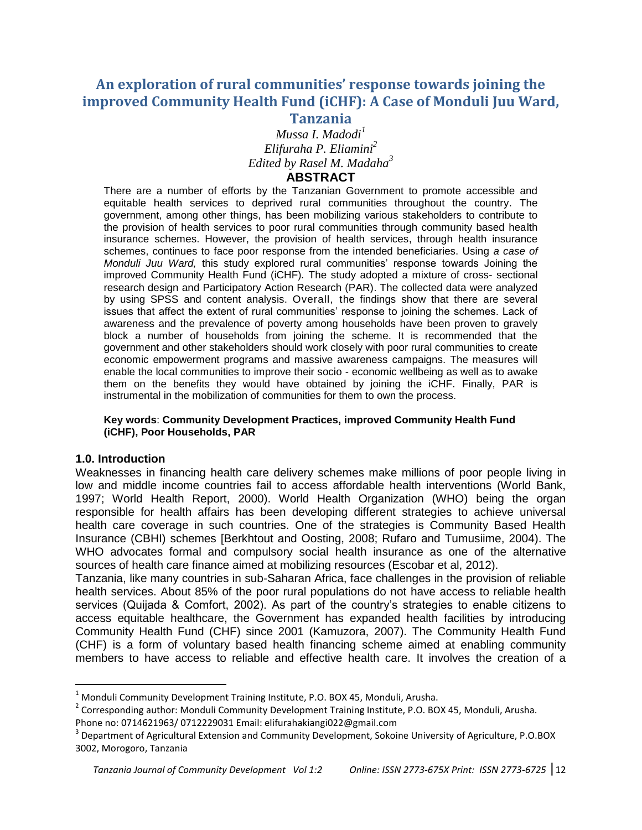## **An exploration of rural communities' response towards joining the improved Community Health Fund (iCHF): A Case of Monduli Juu Ward, Tanzania**

*Mussa I. Madodi<sup>1</sup> Elifuraha P. Eliamini<sup>2</sup> Edited by Rasel M. Madaha<sup>3</sup>* **ABSTRACT**

There are a number of efforts by the Tanzanian Government to promote accessible and equitable health services to deprived rural communities throughout the country. The government, among other things, has been mobilizing various stakeholders to contribute to the provision of health services to poor rural communities through community based health insurance schemes. However, the provision of health services, through health insurance schemes, continues to face poor response from the intended beneficiaries. Using *a case of Monduli Juu Ward,* this study explored rural communities" response towards Joining the improved Community Health Fund (iCHF)*.* The study adopted a mixture of cross- sectional research design and Participatory Action Research (PAR). The collected data were analyzed by using SPSS and content analysis. Overall, the findings show that there are several issues that affect the extent of rural communities' response to joining the schemes. Lack of awareness and the prevalence of poverty among households have been proven to gravely block a number of households from joining the scheme. It is recommended that the government and other stakeholders should work closely with poor rural communities to create economic empowerment programs and massive awareness campaigns. The measures will enable the local communities to improve their socio - economic wellbeing as well as to awake them on the benefits they would have obtained by joining the iCHF. Finally, PAR is instrumental in the mobilization of communities for them to own the process.

#### **Key words**: **Community Development Practices, improved Community Health Fund (iCHF), Poor Households, PAR**

#### **1.0. Introduction**

 $\overline{a}$ 

Weaknesses in financing health care delivery schemes make millions of poor people living in low and middle income countries fail to access affordable health interventions (World Bank, 1997; World Health Report, 2000). World Health Organization (WHO) being the organ responsible for health affairs has been developing different strategies to achieve universal health care coverage in such countries. One of the strategies is Community Based Health Insurance (CBHI) schemes [Berkhtout and Oosting, 2008; Rufaro and Tumusiime, 2004). The WHO advocates formal and compulsory social health insurance as one of the alternative sources of health care finance aimed at mobilizing resources (Escobar et al, 2012).

Tanzania, like many countries in sub-Saharan Africa, face challenges in the provision of reliable health services. About 85% of the poor rural populations do not have access to reliable health services (Quijada & Comfort, 2002). As part of the country's strategies to enable citizens to access equitable healthcare, the Government has expanded health facilities by introducing Community Health Fund (CHF) since 2001 (Kamuzora, 2007). The Community Health Fund (CHF) is a form of voluntary based health financing scheme aimed at enabling community members to have access to reliable and effective health care. It involves the creation of a

 $1$  Monduli Community Development Training Institute, P.O. BOX 45, Monduli, Arusha.

<sup>&</sup>lt;sup>2</sup> Corresponding author: Monduli Community Development Training Institute, P.O. BOX 45, Monduli, Arusha.

Phone no: 0714621963/ 0712229031 Email: elifurahakiangi022@gmail.com

<sup>&</sup>lt;sup>3</sup> Department of Agricultural Extension and Community Development, Sokoine University of Agriculture, P.O.BOX 3002, Morogoro, Tanzania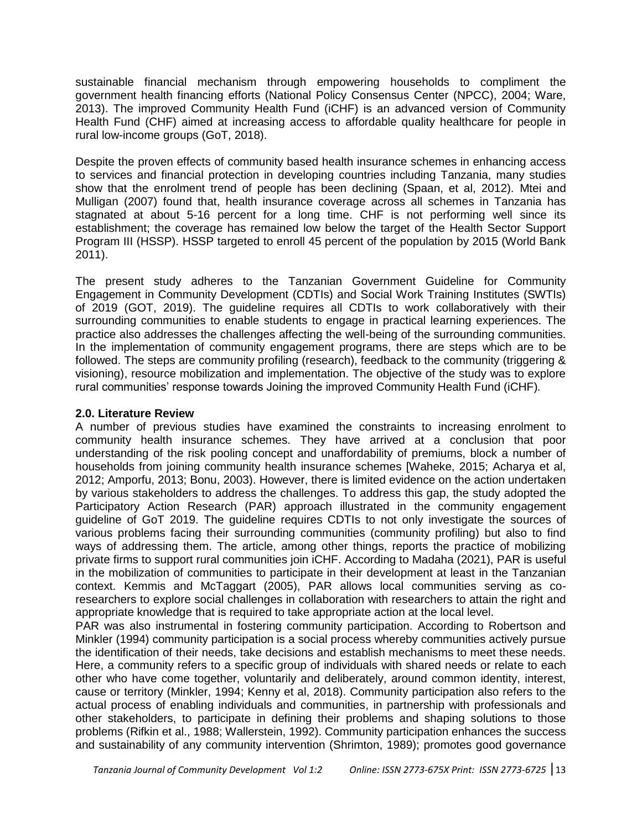sustainable financial mechanism through empowering households to compliment the government health financing efforts (National Policy Consensus Center (NPCC), 2004; Ware, 2013). The improved Community Health Fund (iCHF) is an advanced version of Community Health Fund (CHF) aimed at increasing access to affordable quality healthcare for people in rural low-income groups (GoT, 2018).

Despite the proven effects of community based health insurance schemes in enhancing access to services and financial protection in developing countries including Tanzania, many studies show that the enrolment trend of people has been declining (Spaan, et al, 2012). Mtei and Mulligan (2007) found that, health insurance coverage across all schemes in Tanzania has stagnated at about 5-16 percent for a long time. CHF is not performing well since its establishment; the coverage has remained low below the target of the Health Sector Support Program III (HSSP). HSSP targeted to enroll 45 percent of the population by 2015 (World Bank 2011).

The present study adheres to the Tanzanian Government Guideline for Community Engagement in Community Development (CDTIs) and Social Work Training Institutes (SWTIs) of 2019 (GOT, 2019). The guideline requires all CDTIs to work collaboratively with their surrounding communities to enable students to engage in practical learning experiences. The practice also addresses the challenges affecting the well-being of the surrounding communities. In the implementation of community engagement programs, there are steps which are to be followed. The steps are community profiling (research), feedback to the community (triggering & visioning), resource mobilization and implementation. The objective of the study was to explore rural communities" response towards Joining the improved Community Health Fund (iCHF)*.*

#### **2.0. Literature Review**

A number of previous studies have examined the constraints to increasing enrolment to community health insurance schemes. They have arrived at a conclusion that poor understanding of the risk pooling concept and unaffordability of premiums, block a number of households from joining community health insurance schemes [Waheke, 2015; Acharya et al, 2012; Amporfu, 2013; Bonu, 2003). However, there is limited evidence on the action undertaken by various stakeholders to address the challenges. To address this gap, the study adopted the Participatory Action Research (PAR) approach illustrated in the community engagement guideline of GoT 2019. The guideline requires CDTIs to not only investigate the sources of various problems facing their surrounding communities (community profiling) but also to find ways of addressing them. The article, among other things, reports the practice of mobilizing private firms to support rural communities join iCHF. According to Madaha (2021), PAR is useful in the mobilization of communities to participate in their development at least in the Tanzanian context. Kemmis and McTaggart (2005), PAR allows local communities serving as coresearchers to explore social challenges in collaboration with researchers to attain the right and appropriate knowledge that is required to take appropriate action at the local level.

PAR was also instrumental in fostering community participation. According to Robertson and Minkler (1994) community participation is a social process whereby communities actively pursue the identification of their needs, take decisions and establish mechanisms to meet these needs. Here, a community refers to a specific group of individuals with shared needs or relate to each other who have come together, voluntarily and deliberately, around common identity, interest, cause or territory (Minkler, 1994; Kenny et al, 2018). Community participation also refers to the actual process of enabling individuals and communities, in partnership with professionals and other stakeholders, to participate in defining their problems and shaping solutions to those problems (Rifkin et al., 1988; Wallerstein, 1992). Community participation enhances the success and sustainability of any community intervention (Shrimton, 1989); promotes good governance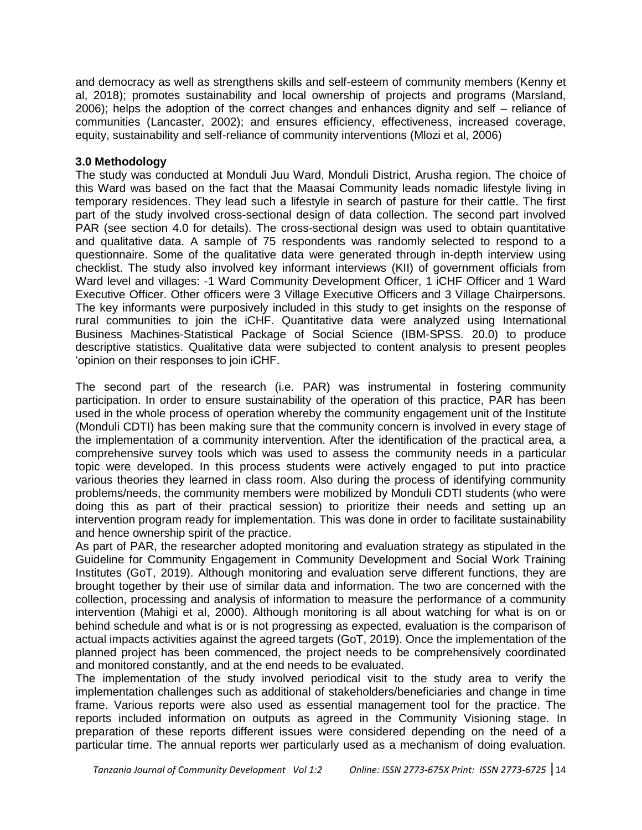and democracy as well as strengthens skills and self-esteem of community members (Kenny et al, 2018); promotes sustainability and local ownership of projects and programs (Marsland, 2006); helps the adoption of the correct changes and enhances dignity and self – reliance of communities (Lancaster, 2002); and ensures efficiency, effectiveness, increased coverage, equity, sustainability and self-reliance of community interventions (Mlozi et al, 2006)

#### **3.0 Methodology**

The study was conducted at Monduli Juu Ward, Monduli District, Arusha region. The choice of this Ward was based on the fact that the Maasai Community leads nomadic lifestyle living in temporary residences. They lead such a lifestyle in search of pasture for their cattle. The first part of the study involved cross-sectional design of data collection. The second part involved PAR (see section 4.0 for details). The cross-sectional design was used to obtain quantitative and qualitative data. A sample of 75 respondents was randomly selected to respond to a questionnaire. Some of the qualitative data were generated through in-depth interview using checklist. The study also involved key informant interviews (KII) of government officials from Ward level and villages: -1 Ward Community Development Officer, 1 iCHF Officer and 1 Ward Executive Officer. Other officers were 3 Village Executive Officers and 3 Village Chairpersons. The key informants were purposively included in this study to get insights on the response of rural communities to join the iCHF. Quantitative data were analyzed using International Business Machines-Statistical Package of Social Science (IBM-SPSS. 20.0) to produce descriptive statistics. Qualitative data were subjected to content analysis to present peoples "opinion on their responses to join iCHF.

The second part of the research (i.e. PAR) was instrumental in fostering community participation. In order to ensure sustainability of the operation of this practice, PAR has been used in the whole process of operation whereby the community engagement unit of the Institute (Monduli CDTI) has been making sure that the community concern is involved in every stage of the implementation of a community intervention. After the identification of the practical area, a comprehensive survey tools which was used to assess the community needs in a particular topic were developed. In this process students were actively engaged to put into practice various theories they learned in class room. Also during the process of identifying community problems/needs, the community members were mobilized by Monduli CDTI students (who were doing this as part of their practical session) to prioritize their needs and setting up an intervention program ready for implementation. This was done in order to facilitate sustainability and hence ownership spirit of the practice.

As part of PAR, the researcher adopted monitoring and evaluation strategy as stipulated in the Guideline for Community Engagement in Community Development and Social Work Training Institutes (GoT, 2019). Although monitoring and evaluation serve different functions, they are brought together by their use of similar data and information. The two are concerned with the collection, processing and analysis of information to measure the performance of a community intervention (Mahigi et al, 2000). Although monitoring is all about watching for what is on or behind schedule and what is or is not progressing as expected, evaluation is the comparison of actual impacts activities against the agreed targets (GoT, 2019). Once the implementation of the planned project has been commenced, the project needs to be comprehensively coordinated and monitored constantly, and at the end needs to be evaluated.

The implementation of the study involved periodical visit to the study area to verify the implementation challenges such as additional of stakeholders/beneficiaries and change in time frame. Various reports were also used as essential management tool for the practice. The reports included information on outputs as agreed in the Community Visioning stage. In preparation of these reports different issues were considered depending on the need of a particular time. The annual reports wer particularly used as a mechanism of doing evaluation.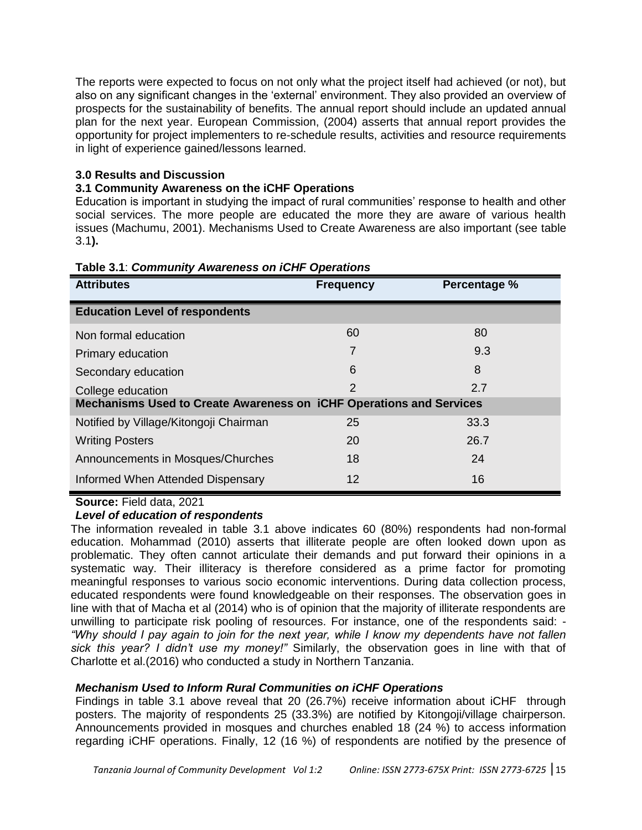The reports were expected to focus on not only what the project itself had achieved (or not), but also on any significant changes in the "external" environment. They also provided an overview of prospects for the sustainability of benefits. The annual report should include an updated annual plan for the next year. European Commission, (2004) asserts that annual report provides the opportunity for project implementers to re-schedule results, activities and resource requirements in light of experience gained/lessons learned.

## **3.0 Results and Discussion**

## **3.1 Community Awareness on the iCHF Operations**

Education is important in studying the impact of rural communities' response to health and other social services. The more people are educated the more they are aware of various health issues (Machumu, 2001). Mechanisms Used to Create Awareness are also important (see table 3.1**).**

| <b>Attributes</b>                                                          | <b>Frequency</b> | Percentage % |  |  |  |  |
|----------------------------------------------------------------------------|------------------|--------------|--|--|--|--|
| <b>Education Level of respondents</b>                                      |                  |              |  |  |  |  |
| Non formal education                                                       | 60               | 80           |  |  |  |  |
| Primary education                                                          |                  | 9.3          |  |  |  |  |
| Secondary education                                                        | 6                | 8            |  |  |  |  |
| College education                                                          | 2                | 2.7          |  |  |  |  |
| <b>Mechanisms Used to Create Awareness on iCHF Operations and Services</b> |                  |              |  |  |  |  |
| Notified by Village/Kitongoji Chairman                                     | 25               | 33.3         |  |  |  |  |
| <b>Writing Posters</b>                                                     | 20               | 26.7         |  |  |  |  |
| Announcements in Mosques/Churches                                          | 18               | 24           |  |  |  |  |
| Informed When Attended Dispensary                                          | 12               | 16           |  |  |  |  |

#### **Table 3.1**: *Community Awareness on iCHF Operations*

**Source:** Field data, 2021

## *Level of education of respondents*

The information revealed in table 3.1 above indicates 60 (80%) respondents had non-formal education. Mohammad (2010) asserts that illiterate people are often looked down upon as problematic. They often cannot articulate their demands and put forward their opinions in a systematic way. Their illiteracy is therefore considered as a prime factor for promoting meaningful responses to various socio economic interventions. During data collection process, educated respondents were found knowledgeable on their responses. The observation goes in line with that of Macha et al (2014) who is of opinion that the majority of illiterate respondents are unwilling to participate risk pooling of resources. For instance, one of the respondents said: - *"Why should I pay again to join for the next year, while I know my dependents have not fallen sick this year? I didn't use my money!"* Similarly, the observation goes in line with that of Charlotte et al.(2016) who conducted a study in Northern Tanzania.

## *Mechanism Used to Inform Rural Communities on iCHF Operations*

Findings in table 3.1 above reveal that 20 (26.7%) receive information about iCHF through posters. The majority of respondents 25 (33.3%) are notified by Kitongoji/village chairperson. Announcements provided in mosques and churches enabled 18 (24 %) to access information regarding iCHF operations. Finally, 12 (16 %) of respondents are notified by the presence of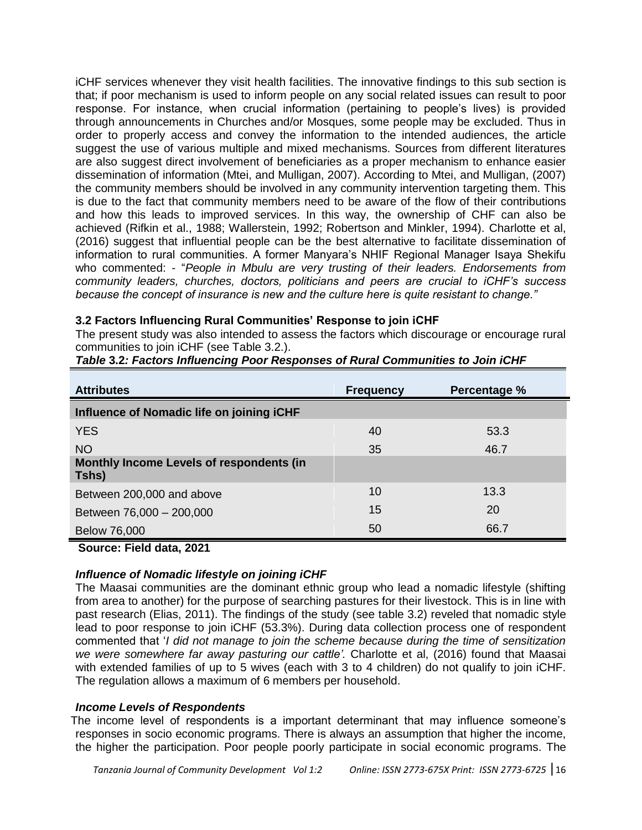iCHF services whenever they visit health facilities. The innovative findings to this sub section is that; if poor mechanism is used to inform people on any social related issues can result to poor response. For instance, when crucial information (pertaining to people"s lives) is provided through announcements in Churches and/or Mosques, some people may be excluded. Thus in order to properly access and convey the information to the intended audiences, the article suggest the use of various multiple and mixed mechanisms. Sources from different literatures are also suggest direct involvement of beneficiaries as a proper mechanism to enhance easier dissemination of information (Mtei, and Mulligan, 2007). According to Mtei, and Mulligan, (2007) the community members should be involved in any community intervention targeting them. This is due to the fact that community members need to be aware of the flow of their contributions and how this leads to improved services. In this way, the ownership of CHF can also be achieved (Rifkin et al., 1988; Wallerstein, 1992; Robertson and Minkler, 1994). Charlotte et al, (2016) suggest that influential people can be the best alternative to facilitate dissemination of information to rural communities. A former Manyara"s NHIF Regional Manager Isaya Shekifu who commented: - "*People in Mbulu are very trusting of their leaders. Endorsements from community leaders, churches, doctors, politicians and peers are crucial to iCHF's success because the concept of insurance is new and the culture here is quite resistant to change."*

#### **3.2 Factors Influencing Rural Communities' Response to join iCHF**

The present study was also intended to assess the factors which discourage or encourage rural communities to join iCHF (see Table 3.2.).

| <b>Attributes</b>                                        | <b>Frequency</b> | Percentage % |  |  |  |
|----------------------------------------------------------|------------------|--------------|--|--|--|
| Influence of Nomadic life on joining iCHF                |                  |              |  |  |  |
| <b>YES</b>                                               | 40               | 53.3         |  |  |  |
| <b>NO</b>                                                | 35               | 46.7         |  |  |  |
| <b>Monthly Income Levels of respondents (in</b><br>Tshs) |                  |              |  |  |  |
| Between 200,000 and above                                | 10               | 13.3         |  |  |  |
| Between 76,000 - 200,000                                 | 15               | 20           |  |  |  |
| <b>Below 76,000</b>                                      | 50               | 66.7         |  |  |  |

*Table* **3.2***: Factors Influencing Poor Responses of Rural Communities to Join iCHF*

**Source: Field data, 2021**

#### *Influence of Nomadic lifestyle on joining iCHF*

The Maasai communities are the dominant ethnic group who lead a nomadic lifestyle (shifting from area to another) for the purpose of searching pastures for their livestock. This is in line with past research (Elias, 2011). The findings of the study (see table 3.2) reveled that nomadic style lead to poor response to join iCHF (53.3%). During data collection process one of respondent commented that "*I did not manage to join the scheme because during the time of sensitization we were somewhere far away pasturing our cattle'.* Charlotte et al, (2016) found that Maasai with extended families of up to 5 wives (each with 3 to 4 children) do not qualify to join iCHF. The regulation allows a maximum of 6 members per household.

#### *Income Levels of Respondents*

The income level of respondents is a important determinant that may influence someone's responses in socio economic programs. There is always an assumption that higher the income, the higher the participation. Poor people poorly participate in social economic programs. The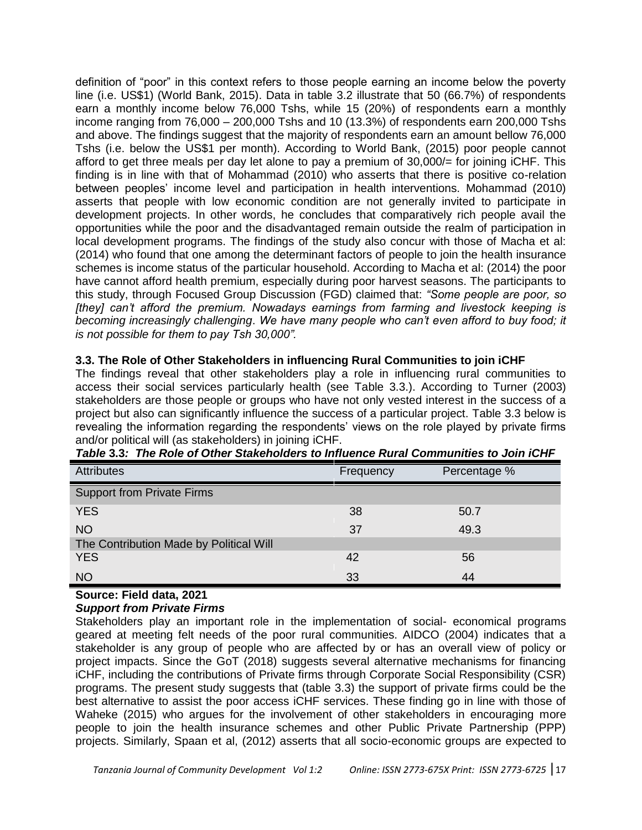definition of "poor" in this context refers to those people earning an income below the poverty line (i.e. US\$1) (World Bank, 2015). Data in table 3.2 illustrate that 50 (66.7%) of respondents earn a monthly income below 76,000 Tshs, while 15 (20%) of respondents earn a monthly income ranging from 76,000 – 200,000 Tshs and 10 (13.3%) of respondents earn 200,000 Tshs and above. The findings suggest that the majority of respondents earn an amount bellow 76,000 Tshs (i.e. below the US\$1 per month). According to World Bank, (2015) poor people cannot afford to get three meals per day let alone to pay a premium of 30,000/= for joining iCHF. This finding is in line with that of Mohammad (2010) who asserts that there is positive co-relation between peoples" income level and participation in health interventions. Mohammad (2010) asserts that people with low economic condition are not generally invited to participate in development projects. In other words, he concludes that comparatively rich people avail the opportunities while the poor and the disadvantaged remain outside the realm of participation in local development programs. The findings of the study also concur with those of Macha et al: (2014) who found that one among the determinant factors of people to join the health insurance schemes is income status of the particular household. According to Macha et al: (2014) the poor have cannot afford health premium, especially during poor harvest seasons. The participants to this study, through Focused Group Discussion (FGD) claimed that: *"Some people are poor, so [they] can't afford the premium. Nowadays earnings from farming and livestock keeping is becoming increasingly challenging*. *We have many people who can't even afford to buy food; it is not possible for them to pay Tsh 30,000".*

## **3.3. The Role of Other Stakeholders in influencing Rural Communities to join iCHF**

The findings reveal that other stakeholders play a role in influencing rural communities to access their social services particularly health (see Table 3.3.). According to Turner (2003) stakeholders are those people or groups who have not only vested interest in the success of a project but also can significantly influence the success of a particular project. Table 3.3 below is revealing the information regarding the respondents' views on the role played by private firms and/or political will (as stakeholders) in joining iCHF.

| <b>Attributes</b>                       | Frequency | Percentage % |  |  |  |
|-----------------------------------------|-----------|--------------|--|--|--|
| <b>Support from Private Firms</b>       |           |              |  |  |  |
| <b>YES</b>                              | 38        | 50.7         |  |  |  |
| <b>NO</b>                               | 37        | 49.3         |  |  |  |
| The Contribution Made by Political Will |           |              |  |  |  |
| <b>YES</b>                              | 42        | 56           |  |  |  |
| <b>NO</b>                               | 33        | 44           |  |  |  |

*Table* **3.3***: The Role of Other Stakeholders to Influence Rural Communities to Join iCHF*

# **Source: Field data, 2021**

## *Support from Private Firms*

Stakeholders play an important role in the implementation of social- economical programs geared at meeting felt needs of the poor rural communities. AIDCO (2004) indicates that a stakeholder is any group of people who are affected by or has an overall view of policy or project impacts. Since the GoT (2018) suggests several alternative mechanisms for financing iCHF, including the contributions of Private firms through Corporate Social Responsibility (CSR) programs. The present study suggests that (table 3.3) the support of private firms could be the best alternative to assist the poor access iCHF services. These finding go in line with those of Waheke (2015) who argues for the involvement of other stakeholders in encouraging more people to join the health insurance schemes and other Public Private Partnership (PPP) projects. Similarly, Spaan et al, (2012) asserts that all socio-economic groups are expected to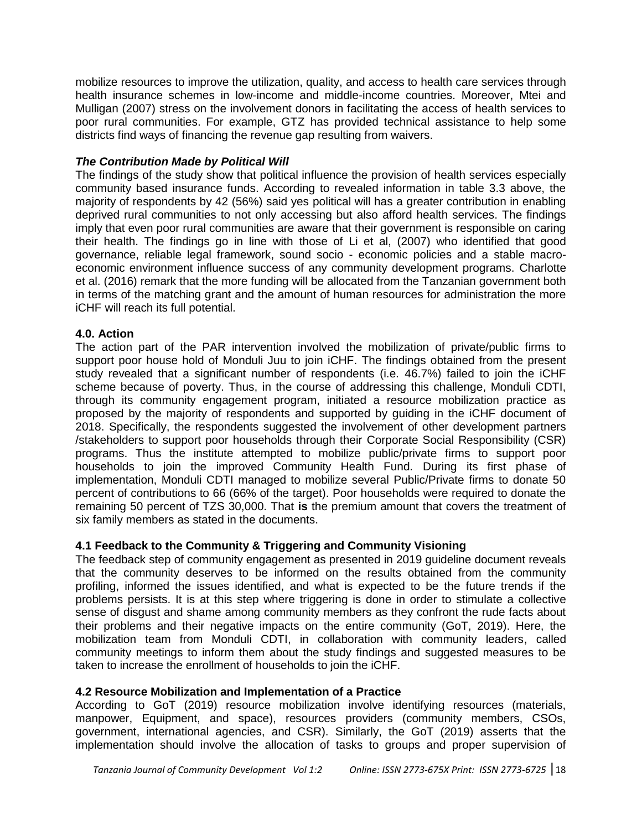mobilize resources to improve the utilization, quality, and access to health care services through health insurance schemes in low-income and middle-income countries. Moreover, Mtei and Mulligan (2007) stress on the involvement donors in facilitating the access of health services to poor rural communities. For example, GTZ has provided technical assistance to help some districts find ways of financing the revenue gap resulting from waivers.

#### *The Contribution Made by Political Will*

The findings of the study show that political influence the provision of health services especially community based insurance funds. According to revealed information in table 3.3 above, the majority of respondents by 42 (56%) said yes political will has a greater contribution in enabling deprived rural communities to not only accessing but also afford health services. The findings imply that even poor rural communities are aware that their government is responsible on caring their health. The findings go in line with those of Li et al, (2007) who identified that good governance, reliable legal framework, sound socio - economic policies and a stable macroeconomic environment influence success of any community development programs. Charlotte et al. (2016) remark that the more funding will be allocated from the Tanzanian government both in terms of the matching grant and the amount of human resources for administration the more iCHF will reach its full potential.

#### **4.0. Action**

The action part of the PAR intervention involved the mobilization of private/public firms to support poor house hold of Monduli Juu to join iCHF. The findings obtained from the present study revealed that a significant number of respondents (i.e. 46.7%) failed to join the iCHF scheme because of poverty. Thus, in the course of addressing this challenge, Monduli CDTI, through its community engagement program, initiated a resource mobilization practice as proposed by the majority of respondents and supported by guiding in the iCHF document of 2018. Specifically, the respondents suggested the involvement of other development partners /stakeholders to support poor households through their Corporate Social Responsibility (CSR) programs. Thus the institute attempted to mobilize public/private firms to support poor households to join the improved Community Health Fund*.* During its first phase of implementation, Monduli CDTI managed to mobilize several Public/Private firms to donate 50 percent of contributions to 66 (66% of the target). Poor households were required to donate the remaining 50 percent of TZS 30,000. That **is** the premium amount that covers the treatment of six family members as stated in the documents.

## **4.1 Feedback to the Community & Triggering and Community Visioning**

The feedback step of community engagement as presented in 2019 guideline document reveals that the community deserves to be informed on the results obtained from the community profiling, informed the issues identified, and what is expected to be the future trends if the problems persists. It is at this step where triggering is done in order to stimulate a collective sense of disgust and shame among community members as they confront the rude facts about their problems and their negative impacts on the entire community (GoT, 2019). Here, the mobilization team from Monduli CDTI, in collaboration with community leaders, called community meetings to inform them about the study findings and suggested measures to be taken to increase the enrollment of households to join the iCHF.

#### **4.2 Resource Mobilization and Implementation of a Practice**

According to GoT (2019) resource mobilization involve identifying resources (materials, manpower, Equipment, and space), resources providers (community members, CSOs, government, international agencies, and CSR). Similarly, the GoT (2019) asserts that the implementation should involve the allocation of tasks to groups and proper supervision of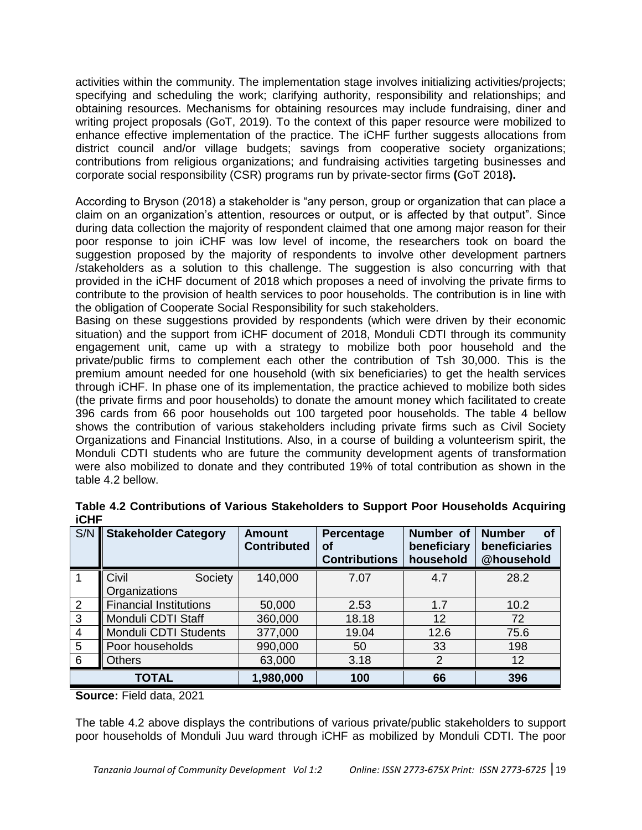activities within the community. The implementation stage involves initializing activities/projects; specifying and scheduling the work; clarifying authority, responsibility and relationships; and obtaining resources. Mechanisms for obtaining resources may include fundraising, diner and writing project proposals (GoT, 2019). To the context of this paper resource were mobilized to enhance effective implementation of the practice. The iCHF further suggests allocations from district council and/or village budgets; savings from cooperative society organizations; contributions from religious organizations; and fundraising activities targeting businesses and corporate social responsibility (CSR) programs run by private-sector firms **(**GoT 2018**).** 

According to Bryson (2018) a stakeholder is "any person, group or organization that can place a claim on an organization"s attention, resources or output, or is affected by that output". Since during data collection the majority of respondent claimed that one among major reason for their poor response to join iCHF was low level of income, the researchers took on board the suggestion proposed by the majority of respondents to involve other development partners /stakeholders as a solution to this challenge. The suggestion is also concurring with that provided in the iCHF document of 2018 which proposes a need of involving the private firms to contribute to the provision of health services to poor households. The contribution is in line with the obligation of Cooperate Social Responsibility for such stakeholders.

Basing on these suggestions provided by respondents (which were driven by their economic situation) and the support from iCHF document of 2018, Monduli CDTI through its community engagement unit, came up with a strategy to mobilize both poor household and the private/public firms to complement each other the contribution of Tsh 30,000. This is the premium amount needed for one household (with six beneficiaries) to get the health services through iCHF. In phase one of its implementation, the practice achieved to mobilize both sides (the private firms and poor households) to donate the amount money which facilitated to create 396 cards from 66 poor households out 100 targeted poor households. The table 4 bellow shows the contribution of various stakeholders including private firms such as Civil Society Organizations and Financial Institutions. Also, in a course of building a volunteerism spirit, the Monduli CDTI students who are future the community development agents of transformation were also mobilized to donate and they contributed 19% of total contribution as shown in the table 4.2 bellow.

| S/N            | <b>Stakeholder Category</b>       | <b>Amount</b><br><b>Contributed</b> | Percentage<br>оf<br><b>Contributions</b> | Number of<br>beneficiary<br>household | <b>Number</b><br>Οf<br>beneficiaries<br>@household |
|----------------|-----------------------------------|-------------------------------------|------------------------------------------|---------------------------------------|----------------------------------------------------|
|                | Civil<br>Society<br>Organizations | 140,000                             | 7.07                                     | 4.7                                   | 28.2                                               |
|                |                                   |                                     |                                          |                                       |                                                    |
| 2              | <b>Financial Institutions</b>     | 50,000                              | 2.53                                     | 1.7                                   | 10.2                                               |
| 3              | Monduli CDTI Staff                | 360,000                             | 18.18                                    | 12                                    | 72                                                 |
| $\overline{4}$ | Monduli CDTI Students             | 377,000                             | 19.04                                    | 12.6                                  | 75.6                                               |
| 5              | Poor households                   | 990,000                             | 50                                       | 33                                    | 198                                                |
| 6              | Others                            | 63,000                              | 3.18                                     | 2                                     | 12                                                 |
|                | <b>TOTAL</b>                      | 1,980,000                           | 100                                      | 66                                    | 396                                                |

|             |  |  | Table 4.2 Contributions of Various Stakeholders to Support Poor Households Acquiring |  |
|-------------|--|--|--------------------------------------------------------------------------------------|--|
| <b>iCHF</b> |  |  |                                                                                      |  |

## **Source:** Field data, 2021

The table 4.2 above displays the contributions of various private/public stakeholders to support poor households of Monduli Juu ward through iCHF as mobilized by Monduli CDTI. The poor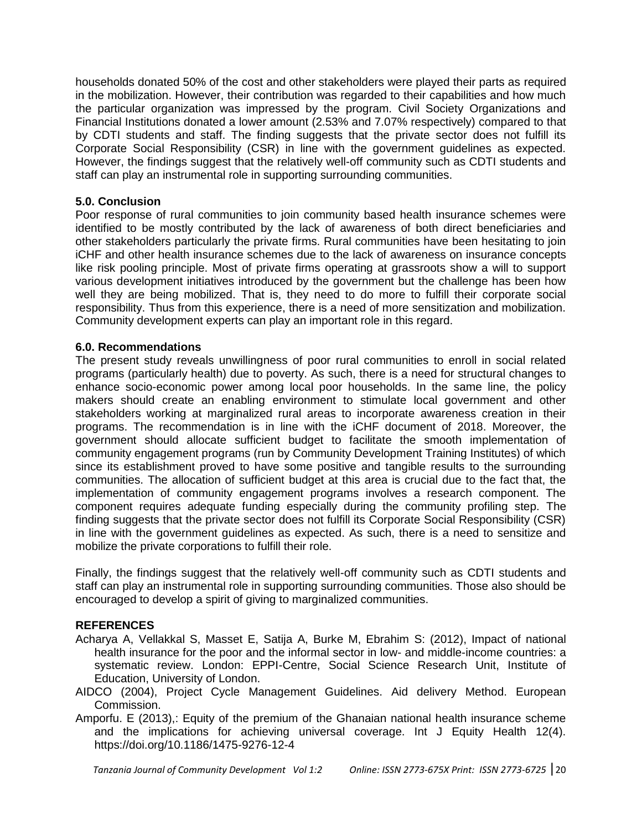households donated 50% of the cost and other stakeholders were played their parts as required in the mobilization. However, their contribution was regarded to their capabilities and how much the particular organization was impressed by the program. Civil Society Organizations and Financial Institutions donated a lower amount (2.53% and 7.07% respectively) compared to that by CDTI students and staff. The finding suggests that the private sector does not fulfill its Corporate Social Responsibility (CSR) in line with the government guidelines as expected. However, the findings suggest that the relatively well-off community such as CDTI students and staff can play an instrumental role in supporting surrounding communities.

#### **5.0. Conclusion**

Poor response of rural communities to join community based health insurance schemes were identified to be mostly contributed by the lack of awareness of both direct beneficiaries and other stakeholders particularly the private firms. Rural communities have been hesitating to join iCHF and other health insurance schemes due to the lack of awareness on insurance concepts like risk pooling principle. Most of private firms operating at grassroots show a will to support various development initiatives introduced by the government but the challenge has been how well they are being mobilized. That is, they need to do more to fulfill their corporate social responsibility. Thus from this experience, there is a need of more sensitization and mobilization. Community development experts can play an important role in this regard.

#### **6.0. Recommendations**

The present study reveals unwillingness of poor rural communities to enroll in social related programs (particularly health) due to poverty. As such, there is a need for structural changes to enhance socio-economic power among local poor households. In the same line, the policy makers should create an enabling environment to stimulate local government and other stakeholders working at marginalized rural areas to incorporate awareness creation in their programs. The recommendation is in line with the iCHF document of 2018. Moreover, the government should allocate sufficient budget to facilitate the smooth implementation of community engagement programs (run by Community Development Training Institutes) of which since its establishment proved to have some positive and tangible results to the surrounding communities. The allocation of sufficient budget at this area is crucial due to the fact that, the implementation of community engagement programs involves a research component. The component requires adequate funding especially during the community profiling step. The finding suggests that the private sector does not fulfill its Corporate Social Responsibility (CSR) in line with the government guidelines as expected. As such, there is a need to sensitize and mobilize the private corporations to fulfill their role.

Finally, the findings suggest that the relatively well-off community such as CDTI students and staff can play an instrumental role in supporting surrounding communities. Those also should be encouraged to develop a spirit of giving to marginalized communities.

## **REFERENCES**

- Acharya A, Vellakkal S, Masset E, Satija A, Burke M, Ebrahim S: (2012), Impact of national health insurance for the poor and the informal sector in low- and middle-income countries: a systematic review. London: EPPI-Centre, Social Science Research Unit, Institute of Education, University of London.
- AIDCO (2004), Project Cycle Management Guidelines. Aid delivery Method. European Commission.
- Amporfu. E (2013),: Equity of the premium of the Ghanaian national health insurance scheme and the implications for achieving universal coverage. Int J Equity Health 12(4). https://doi.org/10.1186/1475-9276-12-4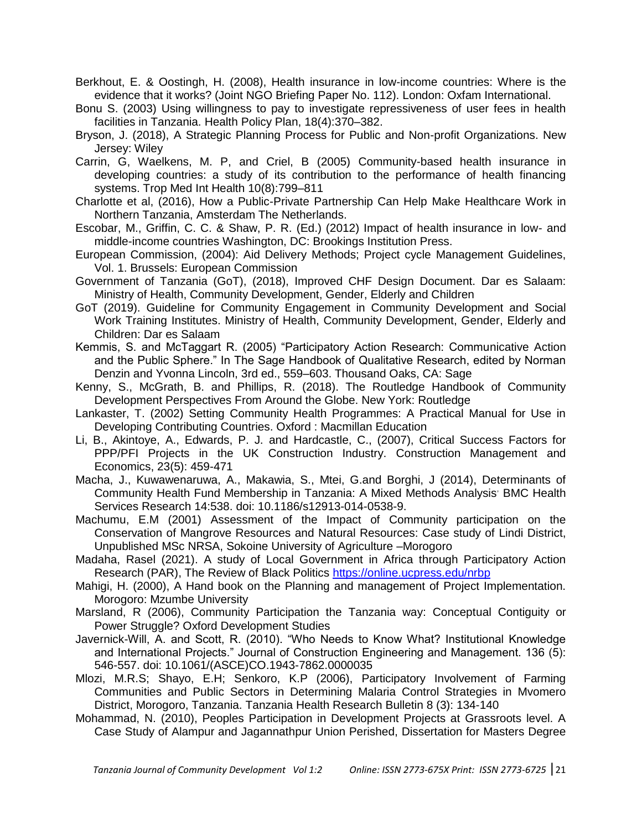Berkhout, E. & Oostingh, H. (2008), Health insurance in low-income countries: Where is the evidence that it works? (Joint NGO Briefing Paper No. 112). London: Oxfam International.

- Bonu S. (2003) Using willingness to pay to investigate repressiveness of user fees in health facilities in Tanzania. Health Policy Plan, 18(4):370–382.
- Bryson, J. (2018), A Strategic Planning Process for Public and Non-profit Organizations. New Jersey: Wiley
- Carrin, G, Waelkens, M. P, and Criel, B (2005) Community-based health insurance in developing countries: a study of its contribution to the performance of health financing systems. Trop Med Int Health 10(8):799–811
- Charlotte et al, (2016), How a Public-Private Partnership Can Help Make Healthcare Work in Northern Tanzania, Amsterdam The Netherlands.
- Escobar, M., Griffin, C. C. & Shaw, P. R. (Ed.) (2012) Impact of health insurance in low- and middle-income countries Washington, DC: Brookings Institution Press.
- European Commission, (2004): Aid Delivery Methods; Project cycle Management Guidelines, Vol. 1. Brussels: European Commission
- Government of Tanzania (GoT), (2018), Improved CHF Design Document. Dar es Salaam: Ministry of Health, Community Development, Gender, Elderly and Children
- GoT (2019). Guideline for Community Engagement in Community Development and Social Work Training Institutes. Ministry of Health, Community Development, Gender, Elderly and Children: Dar es Salaam
- Kemmis, S. and McTaggart R. (2005) "Participatory Action Research: Communicative Action and the Public Sphere." In The Sage Handbook of Qualitative Research, edited by Norman Denzin and Yvonna Lincoln, 3rd ed., 559–603. Thousand Oaks, CA: Sage
- Kenny, S., McGrath, B. and Phillips, R. (2018). The Routledge Handbook of Community Development Perspectives From Around the Globe. New York: Routledge
- Lankaster, T. (2002) Setting Community Health Programmes: A Practical Manual for Use in Developing Contributing Countries. Oxford : Macmillan Education
- Li, B., Akintoye, A., Edwards, P. J. and Hardcastle, C., (2007), Critical Success Factors for PPP/PFI Projects in the UK Construction Industry. Construction Management and Economics, 23(5): 459-471
- Macha, J., Kuwawenaruwa, A., Makawia, S., Mtei, G.and Borghi, J (2014), Determinants of Community Health Fund Membership in Tanzania: A Mixed Methods Analysis, BMC Health Services Research 14:538. doi: 10.1186/s12913-014-0538-9.
- Machumu, E.M (2001) Assessment of the Impact of Community participation on the Conservation of Mangrove Resources and Natural Resources: Case study of Lindi District, Unpublished MSc NRSA, Sokoine University of Agriculture –Morogoro
- Madaha, Rasel (2021). A study of Local Government in Africa through Participatory Action Research (PAR), The Review of Black Politics<https://online.ucpress.edu/nrbp>
- Mahigi, H. (2000), A Hand book on the Planning and management of Project Implementation. Morogoro: Mzumbe University
- Marsland, R (2006), Community Participation the Tanzania way: Conceptual Contiguity or Power Struggle? Oxford Development Studies
- Javernick-Will, A. and Scott, R. (2010). "Who Needs to Know What? Institutional Knowledge and International Projects." Journal of Construction Engineering and Management. 136 (5): 546-557. doi: 10.1061/(ASCE)CO.1943-7862.0000035
- Mlozi, M.R.S; Shayo, E.H; Senkoro, K.P (2006), Participatory Involvement of Farming Communities and Public Sectors in Determining Malaria Control Strategies in Mvomero District, Morogoro, Tanzania. Tanzania Health Research Bulletin 8 (3): 134-140
- Mohammad, N. (2010), Peoples Participation in Development Projects at Grassroots level. A Case Study of Alampur and Jagannathpur Union Perished, Dissertation for Masters Degree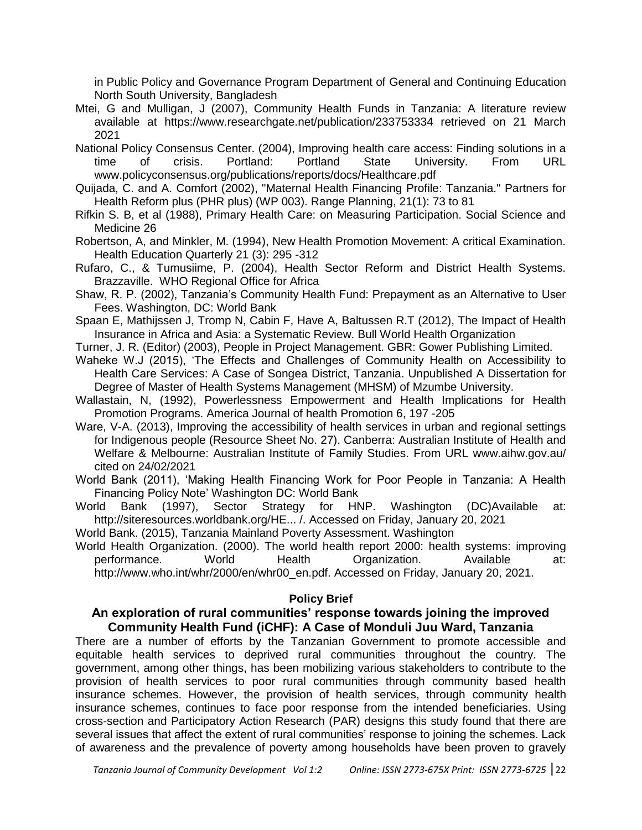in Public Policy and Governance Program Department of General and Continuing Education North South University, Bangladesh

- Mtei, G and Mulligan, J (2007), Community Health Funds in Tanzania: A literature review available at https://www.researchgate.net/publication/233753334 retrieved on 21 March 2021
- National Policy Consensus Center. (2004), Improving health care access: Finding solutions in a time of crisis. Portland: Portland State University. From URL www.policyconsensus.org/publications/reports/docs/Healthcare.pdf
- Quijada, C. and A. Comfort (2002), "Maternal Health Financing Profile: Tanzania." Partners for Health Reform plus (PHR plus) (WP 003). Range Planning, 21(1): 73 to 81
- Rifkin S. B, et al (1988), Primary Health Care: on Measuring Participation. Social Science and Medicine 26
- Robertson, A, and Minkler, M. (1994), New Health Promotion Movement: A critical Examination. Health Education Quarterly 21 (3): 295 -312
- Rufaro, C., & Tumusiime, P. (2004), Health Sector Reform and District Health Systems. Brazzaville. WHO Regional Office for Africa
- Shaw, R. P. (2002), Tanzania's Community Health Fund: Prepayment as an Alternative to User Fees. Washington, DC: World Bank
- Spaan E, Mathijssen J, Tromp N, Cabin F, Have A, Baltussen R.T (2012), The Impact of Health Insurance in Africa and Asia: a Systematic Review. Bull World Health Organization
- Turner, J. R. (Editor) (2003), People in Project Management. GBR: Gower Publishing Limited.
- Waheke W.J (2015), "The Effects and Challenges of Community Health on Accessibility to Health Care Services: A Case of Songea District, Tanzania. Unpublished A Dissertation for Degree of Master of Health Systems Management (MHSM) of Mzumbe University.

Wallastain, N, (1992), Powerlessness Empowerment and Health Implications for Health Promotion Programs. America Journal of health Promotion 6, 197 -205

- Ware, V-A. (2013), Improving the accessibility of health services in urban and regional settings for Indigenous people (Resource Sheet No. 27). Canberra: Australian Institute of Health and Welfare & Melbourne: Australian Institute of Family Studies. From URL www.aihw.gov.au/ cited on 24/02/2021
- World Bank (2011), "Making Health Financing Work for Poor People in Tanzania: A Health Financing Policy Note" Washington DC: World Bank
- World Bank (1997), Sector Strategy for HNP. Washington (DC)Available at: http://siteresources.worldbank.org/HE... /. Accessed on Friday, January 20, 2021
- World Bank. (2015), Tanzania Mainland Poverty Assessment. Washington
- World Health Organization. (2000). The world health report 2000: health systems: improving performance. World Health Organization. Available at: http://www.who.int/whr/2000/en/whr00\_en.pdf. Accessed on Friday, January 20, 2021.

## **Policy Brief**

## **An exploration of rural communities' response towards joining the improved Community Health Fund (iCHF): A Case of Monduli Juu Ward, Tanzania**

There are a number of efforts by the Tanzanian Government to promote accessible and equitable health services to deprived rural communities throughout the country. The government, among other things, has been mobilizing various stakeholders to contribute to the provision of health services to poor rural communities through community based health insurance schemes. However, the provision of health services, through community health insurance schemes, continues to face poor response from the intended beneficiaries. Using cross-section and Participatory Action Research (PAR) designs this study found that there are several issues that affect the extent of rural communities' response to joining the schemes. Lack of awareness and the prevalence of poverty among households have been proven to gravely